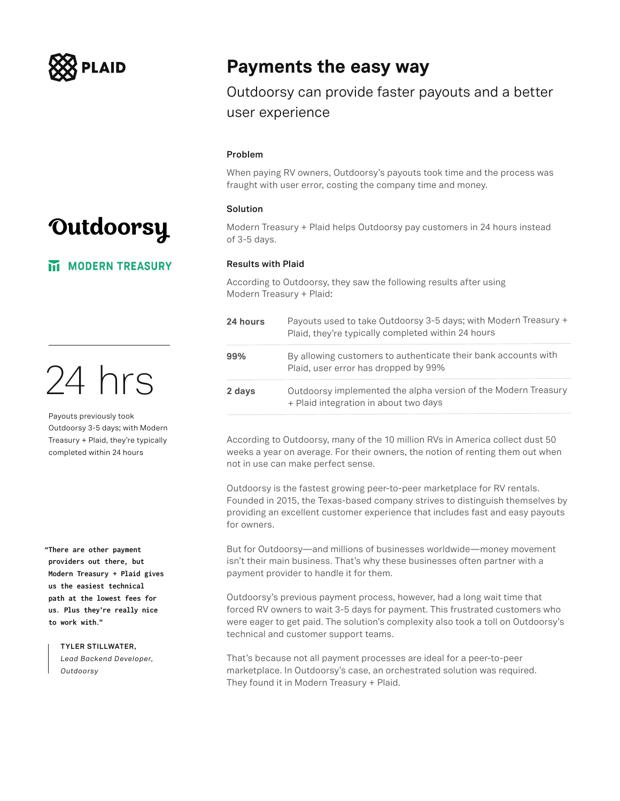

### Outdoorsy

**MI MODERN TREASURY** 

24 hrs

Payouts previously took Outdoorsy 3-5 days; with Modern Treasury + Plaid, they're typically completed within 24 hours

**"There are other payment providers out there, but Modern Treasury + Plaid gives us the easiest technical path at the lowest fees for us. Plus they're really nice to work with."**

### **TYLER STILLWATER,**

*Lead Backend Developer, Outdoorsy*

### **Payments the easy way**

Outdoorsy can provide faster payouts and a better user experience

#### **Problem**

When paying RV owners, Outdoorsy's payouts took time and the process was fraught with user error, costing the company time and money.

### **Solution**

Modern Treasury + Plaid helps Outdoorsy pay customers in 24 hours instead of 3-5 days.

### **Results with Plaid**

According to Outdoorsy, they saw the following results after using Modern Treasury + Plaid:

| 24 hours | Payouts used to take Outdoorsy 3-5 days; with Modern Treasury +<br>Plaid, they're typically completed within 24 hours |
|----------|-----------------------------------------------------------------------------------------------------------------------|
| 99%      | By allowing customers to authenticate their bank accounts with<br>Plaid, user error has dropped by 99%                |
| 2 days   | Outdoorsy implemented the alpha version of the Modern Treasury<br>+ Plaid integration in about two days               |

According to Outdoorsy, many of the 10 million RVs in America collect dust 50 weeks a year on average. For their owners, the notion of renting them out when not in use can make perfect sense.

Outdoorsy is the fastest growing peer-to-peer marketplace for RV rentals. Founded in 2015, the Texas-based company strives to distinguish themselves by providing an excellent customer experience that includes fast and easy payouts for owners.

But for Outdoorsy—and millions of businesses worldwide—money movement isn't their main business. That's why these businesses often partner with a payment provider to handle it for them.

Outdoorsy's previous payment process, however, had a long wait time that forced RV owners to wait 3-5 days for payment. This frustrated customers who were eager to get paid. The solution's complexity also took a toll on Outdoorsy's technical and customer support teams.

That's because not all payment processes are ideal for a peer-to-peer marketplace. In Outdoorsy's case, an orchestrated solution was required. They found it in Modern Treasury + Plaid.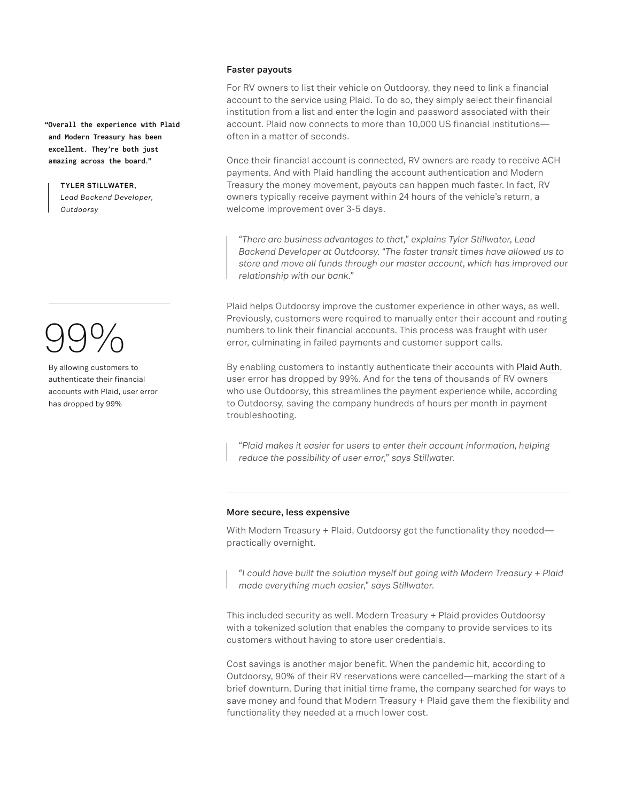**"Overall the experience with Plaid and Modern Treasury has been excellent. They're both just amazing across the board."**

> **TYLER STILLWATER,**  *Lead Backend Developer, Outdoorsy*

# 99%

By allowing customers to authenticate their financial accounts with Plaid, user error has dropped by 99%

### **Faster payouts**

For RV owners to list their vehicle on Outdoorsy, they need to link a financial account to the service using Plaid. To do so, they simply select their financial institution from a list and enter the login and password associated with their account. Plaid now connects to more than 10,000 US financial institutions often in a matter of seconds.

Once their financial account is connected, RV owners are ready to receive ACH payments. And with Plaid handling the account authentication and Modern Treasury the money movement, payouts can happen much faster. In fact, RV owners typically receive payment within 24 hours of the vehicle's return, a welcome improvement over 3-5 days.

*"There are business advantages to that," explains Tyler Stillwater, Lead Backend Developer at Outdoorsy. "The faster transit times have allowed us to store and move all funds through our master account, which has improved our relationship with our bank."*

Plaid helps Outdoorsy improve the customer experience in other ways, as well. Previously, customers were required to manually enter their account and routing numbers to link their financial accounts. This process was fraught with user error, culminating in failed payments and customer support calls.

By enabling customers to instantly authenticate their accounts with [Plaid Auth](https://plaid.com/products/auth/), user error has dropped by 99%. And for the tens of thousands of RV owners who use Outdoorsy, this streamlines the payment experience while, according to Outdoorsy, saving the company hundreds of hours per month in payment troubleshooting.

*"Plaid makes it easier for users to enter their account information, helping reduce the possibility of user error," says Stillwater.*

### **More secure, less expensive**

With Modern Treasury + Plaid, Outdoorsy got the functionality they needed practically overnight.

*"I could have built the solution myself but going with Modern Treasury + Plaid made everything much easier," says Stillwater.*

This included security as well. Modern Treasury + Plaid provides Outdoorsy with a tokenized solution that enables the company to provide services to its customers without having to store user credentials.

Cost savings is another major benefit. When the pandemic hit, according to Outdoorsy, 90% of their RV reservations were cancelled—marking the start of a brief downturn. During that initial time frame, the company searched for ways to save money and found that Modern Treasury + Plaid gave them the flexibility and functionality they needed at a much lower cost.